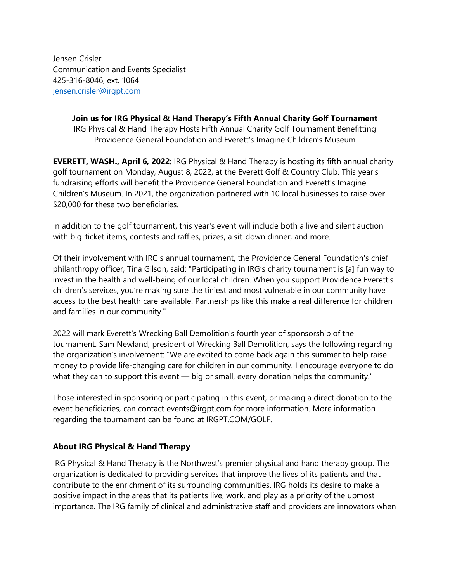Jensen Crisler Communication and Events Specialist 425-316-8046, ext. 1064 [jensen.crisler@irgpt.com](mailto:jensen.crisler@irgpt.com)

> **Join us for IRG Physical & Hand Therapy's Fifth Annual Charity Golf Tournament** IRG Physical & Hand Therapy Hosts Fifth Annual Charity Golf Tournament Benefitting Providence General Foundation and Everett's Imagine Children's Museum

**EVERETT, WASH., April 6, 2022**: IRG Physical & Hand Therapy is hosting its fifth annual charity golf tournament on Monday, August 8, 2022, at the Everett Golf & Country Club. This year's fundraising efforts will benefit the Providence General Foundation and Everett's Imagine Children's Museum. In 2021, the organization partnered with 10 local businesses to raise over \$20,000 for these two beneficiaries.

In addition to the golf tournament, this year's event will include both a live and silent auction with big-ticket items, contests and raffles, prizes, a sit-down dinner, and more.

Of their involvement with IRG's annual tournament, the Providence General Foundation's chief philanthropy officer, Tina Gilson, said: "Participating in IRG's charity tournament is [a] fun way to invest in the health and well-being of our local children. When you support Providence Everett's children's services, you're making sure the tiniest and most vulnerable in our community have access to the best health care available. Partnerships like this make a real difference for children and families in our community."

2022 will mark Everett's Wrecking Ball Demolition's fourth year of sponsorship of the tournament. Sam Newland, president of Wrecking Ball Demolition, says the following regarding the organization's involvement: "We are excited to come back again this summer to help raise money to provide life-changing care for children in our community. I encourage everyone to do what they can to support this event — big or small, every donation helps the community."

Those interested in sponsoring or participating in this event, or making a direct donation to the event beneficiaries, can contact events@irgpt.com for more information. More information regarding the tournament can be found at IRGPT.COM/GOLF.

## **About IRG Physical & Hand Therapy**

IRG Physical & Hand Therapy is the Northwest's premier physical and hand therapy group. The organization is dedicated to providing services that improve the lives of its patients and that contribute to the enrichment of its surrounding communities. IRG holds its desire to make a positive impact in the areas that its patients live, work, and play as a priority of the upmost importance. The IRG family of clinical and administrative staff and providers are innovators when